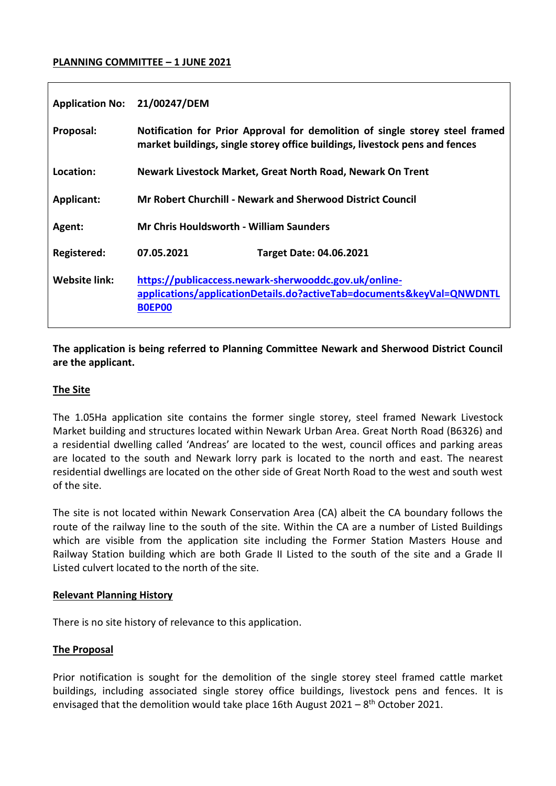### **PLANNING COMMITTEE – 1 JUNE 2021**

| <b>Application No:</b> | 21/00247/DEM                                                                                                                                                |
|------------------------|-------------------------------------------------------------------------------------------------------------------------------------------------------------|
| Proposal:              | Notification for Prior Approval for demolition of single storey steel framed<br>market buildings, single storey office buildings, livestock pens and fences |
| Location:              | Newark Livestock Market, Great North Road, Newark On Trent                                                                                                  |
| <b>Applicant:</b>      | Mr Robert Churchill - Newark and Sherwood District Council                                                                                                  |
| Agent:                 | <b>Mr Chris Houldsworth - William Saunders</b>                                                                                                              |
| Registered:            | 07.05.2021<br><b>Target Date: 04.06.2021</b>                                                                                                                |
| Website link:          | https://publicaccess.newark-sherwooddc.gov.uk/online-<br>applications/applicationDetails.do?activeTab=documents&keyVal=QNWDNTL<br><b>BOEPOO</b>             |

## **The application is being referred to Planning Committee Newark and Sherwood District Council are the applicant.**

## **The Site**

The 1.05Ha application site contains the former single storey, steel framed Newark Livestock Market building and structures located within Newark Urban Area. Great North Road (B6326) and a residential dwelling called 'Andreas' are located to the west, council offices and parking areas are located to the south and Newark lorry park is located to the north and east. The nearest residential dwellings are located on the other side of Great North Road to the west and south west of the site.

The site is not located within Newark Conservation Area (CA) albeit the CA boundary follows the route of the railway line to the south of the site. Within the CA are a number of Listed Buildings which are visible from the application site including the Former Station Masters House and Railway Station building which are both Grade II Listed to the south of the site and a Grade II Listed culvert located to the north of the site.

#### **Relevant Planning History**

There is no site history of relevance to this application.

## **The Proposal**

Prior notification is sought for the demolition of the single storey steel framed cattle market buildings, including associated single storey office buildings, livestock pens and fences. It is envisaged that the demolition would take place 16th August 2021 - 8<sup>th</sup> October 2021.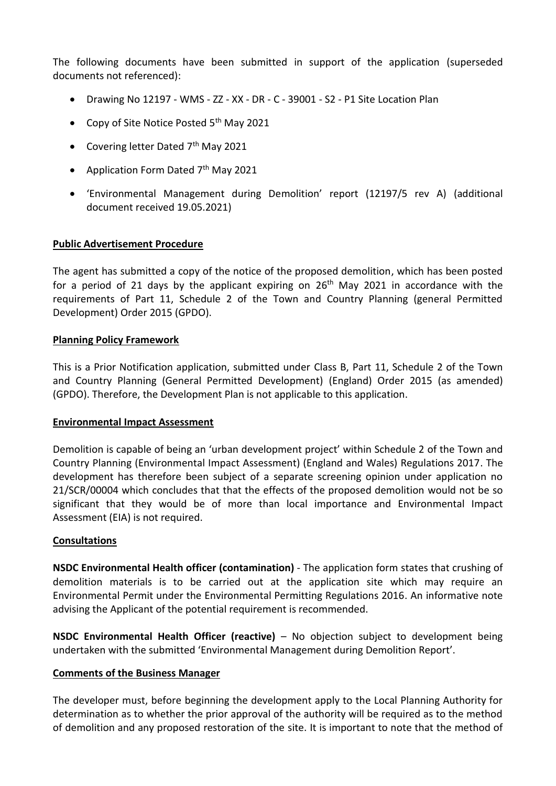The following documents have been submitted in support of the application (superseded documents not referenced):

- Drawing No 12197 WMS ZZ XX DR C 39001 S2 P1 Site Location Plan
- Copy of Site Notice Posted  $5<sup>th</sup>$  May 2021
- Covering letter Dated 7<sup>th</sup> May 2021
- Application Form Dated 7<sup>th</sup> May 2021
- 'Environmental Management during Demolition' report (12197/5 rev A) (additional document received 19.05.2021)

## **Public Advertisement Procedure**

The agent has submitted a copy of the notice of the proposed demolition, which has been posted for a period of 21 days by the applicant expiring on  $26<sup>th</sup>$  May 2021 in accordance with the requirements of Part 11, Schedule 2 of the Town and Country Planning (general Permitted Development) Order 2015 (GPDO).

### **Planning Policy Framework**

This is a Prior Notification application, submitted under Class B, Part 11, Schedule 2 of the Town and Country Planning (General Permitted Development) (England) Order 2015 (as amended) (GPDO). Therefore, the Development Plan is not applicable to this application.

#### **Environmental Impact Assessment**

Demolition is capable of being an 'urban development project' within Schedule 2 of the Town and Country Planning (Environmental Impact Assessment) (England and Wales) Regulations 2017. The development has therefore been subject of a separate screening opinion under application no 21/SCR/00004 which concludes that that the effects of the proposed demolition would not be so significant that they would be of more than local importance and Environmental Impact Assessment (EIA) is not required.

#### **Consultations**

**NSDC Environmental Health officer (contamination)** - The application form states that crushing of demolition materials is to be carried out at the application site which may require an Environmental Permit under the Environmental Permitting Regulations 2016. An informative note advising the Applicant of the potential requirement is recommended.

**NSDC Environmental Health Officer (reactive)** – No objection subject to development being undertaken with the submitted 'Environmental Management during Demolition Report'.

#### **Comments of the Business Manager**

The developer must, before beginning the development apply to the Local Planning Authority for determination as to whether the prior approval of the authority will be required as to the method of demolition and any proposed restoration of the site. It is important to note that the method of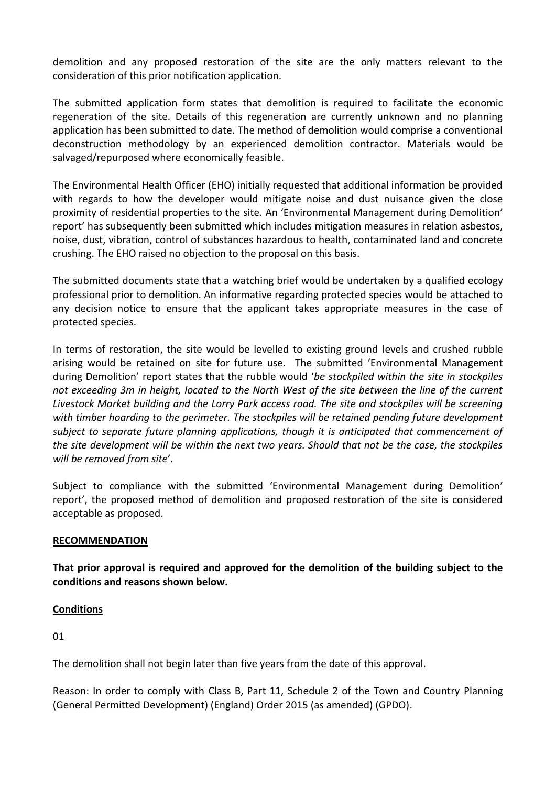demolition and any proposed restoration of the site are the only matters relevant to the consideration of this prior notification application.

The submitted application form states that demolition is required to facilitate the economic regeneration of the site. Details of this regeneration are currently unknown and no planning application has been submitted to date. The method of demolition would comprise a conventional deconstruction methodology by an experienced demolition contractor. Materials would be salvaged/repurposed where economically feasible.

The Environmental Health Officer (EHO) initially requested that additional information be provided with regards to how the developer would mitigate noise and dust nuisance given the close proximity of residential properties to the site. An 'Environmental Management during Demolition' report' has subsequently been submitted which includes mitigation measures in relation asbestos, noise, dust, vibration, control of substances hazardous to health, contaminated land and concrete crushing. The EHO raised no objection to the proposal on this basis.

The submitted documents state that a watching brief would be undertaken by a qualified ecology professional prior to demolition. An informative regarding protected species would be attached to any decision notice to ensure that the applicant takes appropriate measures in the case of protected species.

In terms of restoration, the site would be levelled to existing ground levels and crushed rubble arising would be retained on site for future use. The submitted 'Environmental Management during Demolition' report states that the rubble would '*be stockpiled within the site in stockpiles not exceeding 3m in height, located to the North West of the site between the line of the current Livestock Market building and the Lorry Park access road. The site and stockpiles will be screening with timber hoarding to the perimeter. The stockpiles will be retained pending future development subject to separate future planning applications, though it is anticipated that commencement of the site development will be within the next two years. Should that not be the case, the stockpiles will be removed from site*'.

Subject to compliance with the submitted 'Environmental Management during Demolition' report', the proposed method of demolition and proposed restoration of the site is considered acceptable as proposed.

## **RECOMMENDATION**

**That prior approval is required and approved for the demolition of the building subject to the conditions and reasons shown below.**

## **Conditions**

01

The demolition shall not begin later than five years from the date of this approval.

Reason: In order to comply with Class B, Part 11, Schedule 2 of the Town and Country Planning (General Permitted Development) (England) Order 2015 (as amended) (GPDO).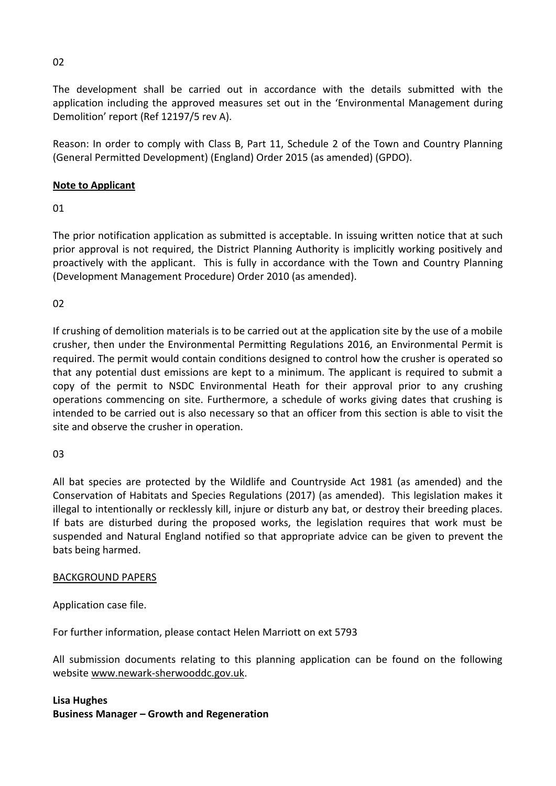The development shall be carried out in accordance with the details submitted with the application including the approved measures set out in the 'Environmental Management during Demolition' report (Ref 12197/5 rev A).

Reason: In order to comply with Class B, Part 11, Schedule 2 of the Town and Country Planning (General Permitted Development) (England) Order 2015 (as amended) (GPDO).

# **Note to Applicant**

01

The prior notification application as submitted is acceptable. In issuing written notice that at such prior approval is not required, the District Planning Authority is implicitly working positively and proactively with the applicant. This is fully in accordance with the Town and Country Planning (Development Management Procedure) Order 2010 (as amended).

02

If crushing of demolition materials is to be carried out at the application site by the use of a mobile crusher, then under the Environmental Permitting Regulations 2016, an Environmental Permit is required. The permit would contain conditions designed to control how the crusher is operated so that any potential dust emissions are kept to a minimum. The applicant is required to submit a copy of the permit to NSDC Environmental Heath for their approval prior to any crushing operations commencing on site. Furthermore, a schedule of works giving dates that crushing is intended to be carried out is also necessary so that an officer from this section is able to visit the site and observe the crusher in operation.

 $03$ 

All bat species are protected by the Wildlife and Countryside Act 1981 (as amended) and the Conservation of Habitats and Species Regulations (2017) (as amended). This legislation makes it illegal to intentionally or recklessly kill, injure or disturb any bat, or destroy their breeding places. If bats are disturbed during the proposed works, the legislation requires that work must be suspended and Natural England notified so that appropriate advice can be given to prevent the bats being harmed.

## BACKGROUND PAPERS

Application case file.

For further information, please contact Helen Marriott on ext 5793

All submission documents relating to this planning application can be found on the following websit[e www.newark-sherwooddc.gov.uk.](http://www.newark-sherwooddc.gov.uk/)

## **Lisa Hughes Business Manager – Growth and Regeneration**

02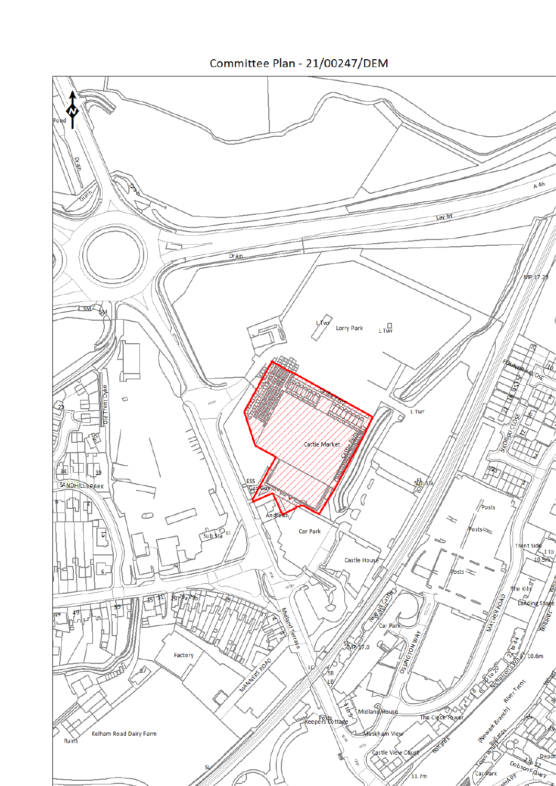Committee Plan - 21/00247/DEM